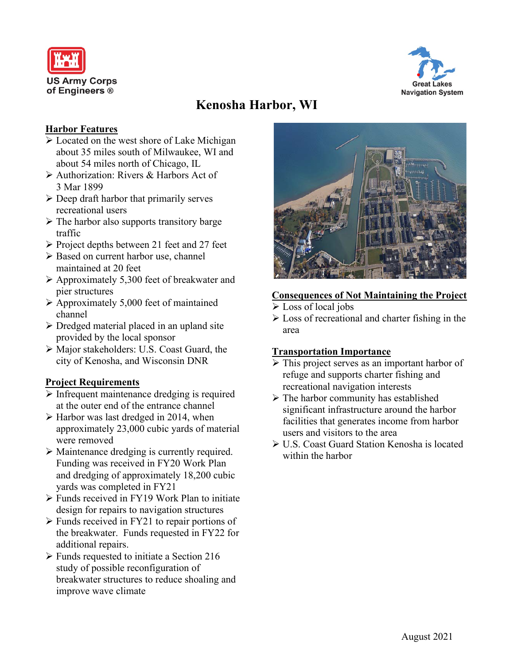



# **Kenosha Harbor, WI**

#### **Harbor Features**

- $\triangleright$  Located on the west shore of Lake Michigan about 35 miles south of Milwaukee, WI and about 54 miles north of Chicago, IL
- Authorization: Rivers & Harbors Act of 3 Mar 1899
- $\triangleright$  Deep draft harbor that primarily serves recreational users
- $\triangleright$  The harbor also supports transitory barge traffic
- $\triangleright$  Project depths between 21 feet and 27 feet
- ▶ Based on current harbor use, channel maintained at 20 feet
- $\triangleright$  Approximately 5,300 feet of breakwater and pier structures
- $\geq$  Approximately 5,000 feet of maintained channel
- Dredged material placed in an upland site provided by the local sponsor
- Major stakeholders: U.S. Coast Guard, the city of Kenosha, and Wisconsin DNR

## **Project Requirements**

- $\triangleright$  Infrequent maintenance dredging is required at the outer end of the entrance channel
- $\triangleright$  Harbor was last dredged in 2014, when approximately 23,000 cubic yards of material were removed
- Maintenance dredging is currently required. Funding was received in FY20 Work Plan and dredging of approximately 18,200 cubic yards was completed in FY21
- Funds received in FY19 Work Plan to initiate design for repairs to navigation structures
- $\triangleright$  Funds received in FY21 to repair portions of the breakwater. Funds requested in FY22 for additional repairs.
- $\triangleright$  Funds requested to initiate a Section 216 study of possible reconfiguration of breakwater structures to reduce shoaling and improve wave climate



## **Consequences of Not Maintaining the Project**

- Loss of local jobs
- $\triangleright$  Loss of recreational and charter fishing in the area

#### **Transportation Importance**

- $\triangleright$  This project serves as an important harbor of refuge and supports charter fishing and recreational navigation interests
- $\triangleright$  The harbor community has established significant infrastructure around the harbor facilities that generates income from harbor users and visitors to the area
- U.S. Coast Guard Station Kenosha is located within the harbor